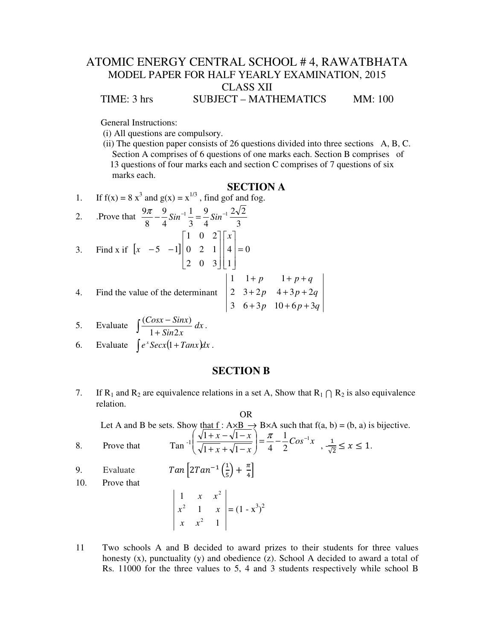## ATOMIC ENERGY CENTRAL SCHOOL # 4, RAWATBHATA MODEL PAPER FOR HALF YEARLY EXAMINATION, 2015 CLASS XII TIME: 3 hrs SUBJECT – MATHEMATICS MM: 100

General Instructions:

- (i) All questions are compulsory.
- (ii) The question paper consists of 26 questions divided into three sections A, B, C. Section A comprises of 6 questions of one marks each. Section B comprises of 13 questions of four marks each and section C comprises of 7 questions of six marks each.

# **SECTION A**

1. If 
$$
f(x) = 8x^3
$$
 and  $g(x) = x^{1/3}$ , find gof and fog.

2. Prove that  $\frac{9\pi}{2} - \frac{9}{2} \sin^{-1} \frac{1}{2} = \frac{9}{2} \sin^{-1} \frac{2\sqrt{2}}{2}$ 3 4 3 4 8 3. Find x if  $\begin{bmatrix} x & -5 & -1 \end{bmatrix} \begin{bmatrix} 0 & 2 & 1 \end{bmatrix} \begin{bmatrix} 4 & -1 & 0 \end{bmatrix}$ 1 4 2 0 3 0 2 1 1 0 2  $5 -1$ || 0 2 1 || 4 | =  $\overline{\phantom{a}}$  $\overline{\phantom{a}}$  $\overline{\phantom{a}}$ J 1  $\mathsf{L}$  $\mathbf{r}$  $\mathbf{r}$ L Г  $\overline{\phantom{a}}$  $\overline{\phantom{a}}$  $\overline{\phantom{a}}$ J 1  $\mathsf{L}$  $\mathbf{r}$  $\mathbf{r}$ L Г −5 − *x x* 4. Find the value of the determinant  $p \quad 10 + 6p + 3q$  $p \quad 4+3p+2q$  $p = 1 + p + q$ 3  $6+3p$   $10+6p+3$ 2  $3+2p$   $4+3p+2$ 1  $1 + p$  1  $+3p$  10 + 6 p +  $+ 2p \quad 4 + 3p +$  $+p = 1+p+$ 

5. Evaluate 
$$
\int \frac{(Cosx - Sinx)}{1 + Sin2x} dx.
$$

6. Evaluate 
$$
\int e^x \text{Secx}(1 + \text{Tan}x) dx
$$
.

#### **SECTION B**

7. If R<sub>1</sub> and R<sub>2</sub> are equivalence relations in a set A, Show that  $R_1 \cap R_2$  is also equivalence relation.

#### OR

Let A and B be sets. Show that  $f : A \times B \to B \times A$  such that  $f(a, b) = (b, a)$  is bijective.  $\backslash$ ſ

- 8. Prove that  $\arctan \frac{1}{\sqrt{1+x} + \sqrt{1-x}} = \frac{x^2 \frac{1}{2} \cos^{-1} x}{4 \frac{1}{2} \cos^{-1} x}$  $\left[ x-\sqrt{1-x} \right]$   $\left[ \pi \right]$   $\left[ 1 \right]$   $\left[ \cos^{-1} \right]$ 2 1  $1 + x + \sqrt{1-x}$  4  $\left|\frac{1+x-\sqrt{1-x}}{1+x+\sqrt{1-x}}\right|=\frac{\pi}{4}-\frac{1}{2}Cos^{-1}$ J  $\overline{\phantom{a}}$ l  $+ x + \sqrt{1} \left(\frac{x-\sqrt{1-x}}{1+x+\sqrt{1-x}}\right) = \frac{\pi}{4} - \frac{1}{2}Cos^{-1}x$ ,  $\frac{1}{\sqrt{5}}$  $\frac{1}{\sqrt{2}} \leq x \leq 1.$
- 9. Evaluate  $Tan \left[2Tan^{-1}\left(\frac{1}{5}\right)\right]$  $\frac{1}{5}$  +  $\frac{\pi}{4}$ 10. Prove that

$$
\begin{vmatrix} 1 & x & x^2 \\ x^2 & 1 & x \\ x & x^2 & 1 \end{vmatrix} = (1 - x^3)^2
$$

11 Two schools A and B decided to award prizes to their students for three values honesty  $(x)$ , punctuality  $(y)$  and obedience  $(z)$ . School A decided to award a total of Rs. 11000 for the three values to 5, 4 and 3 students respectively while school B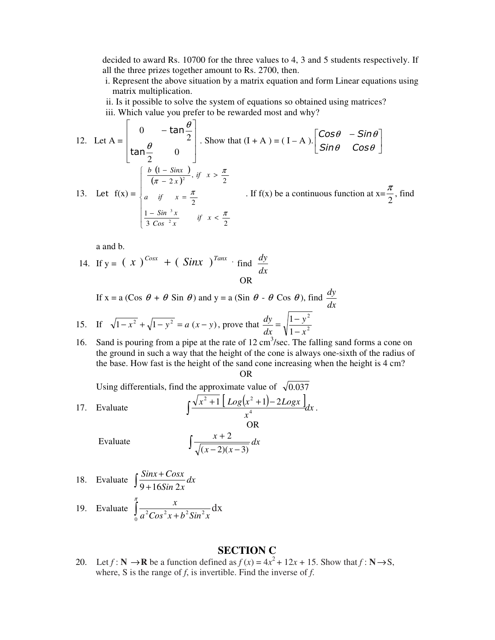decided to award Rs. 10700 for the three values to 4, 3 and 5 students respectively. If all the three prizes together amount to Rs. 2700, then.

 i. Represent the above situation by a matrix equation and form Linear equations using matrix multiplication.

 ii. Is it possible to solve the system of equations so obtained using matrices? iii. Which value you prefer to be rewarded most and why?

12. Let 
$$
A = \begin{bmatrix} 0 & -\tan\frac{\theta}{2} \\ \tan\frac{\theta}{2} & 0 \end{bmatrix}
$$
. Show that  $(I + A) = (I - A) \cdot \begin{bmatrix} \cos\theta & -\sin\theta \\ \sin\theta & \cos\theta \end{bmatrix}$   
\n13. Let  $f(x) = \begin{cases} \frac{b(1 - \sin x)}{(\pi - 2x)^2}, & \text{if } x > \frac{\pi}{2} \\ a & \text{if } x = \frac{\pi}{2} \\ \frac{1 - \sin^3 x}{3 \cos^2 x} & \text{if } x < \frac{\pi}{2} \end{cases}$ . If  $f(x)$  be a continuous function at  $x = \frac{\pi}{2}$ , find

a and b.

14. If 
$$
y = (x)^{\text{Cosx}} + (\text{Sinx})^{\text{Tanx}} \cdot \text{find } \frac{dy}{dx}
$$
  
OR

If x = a (Cos 
$$
\theta
$$
 +  $\theta$  Sin  $\theta$ ) and y = a (Sin  $\theta$  -  $\theta$  Cos  $\theta$ ), find  $\frac{dy}{dx}$   
15. If  $\sqrt{1-x^2} + \sqrt{1-y^2} = a(x-y)$ , prove that  $\frac{dy}{dx} = \sqrt{\frac{1-y^2}{1-x^2}}$ 

16. Sand is pouring from a pipe at the rate of  $12 \text{ cm}^3/\text{sec}$ . The falling sand forms a cone on the ground in such a way that the height of the cone is always one-sixth of the radius of the base. How fast is the height of the sand cone increasing when the height is 4 cm? OR

Using differentials, find the approximate value of  $\sqrt{0.037}$ 

17. Evaluate  $\int \frac{\sqrt{x^2+1} \left[ Log(x^2+1) - 2Logx \right]}{4} dx$  $\int \frac{\sqrt{x^2+1} \left[ Log(x^2+1) - 2Log(x)}{x^4}$ 4  $\frac{2}{4}+1\left[Log(x^2+1)-2Logx\right]_{dx}$ . OR Evaluate ∫  $-2(x \frac{+2}{2}$  dx  $(x-2)(x)$ *x*  $(x-2)(x-3)$ 2

18. Evaluate 
$$
\int \frac{Sinx + Cosx}{9 + 16Sin 2x} dx
$$

19. Evaluate 
$$
\int_{0}^{\pi} \frac{x}{a^2 \cos^2 x + b^2 \sin^2 x} dx
$$

### **SECTION C**

20. Let  $f : \mathbb{N} \to \mathbb{R}$  be a function defined as  $f(x) = 4x^2 + 12x + 15$ . Show that  $f : \mathbb{N} \to \mathbb{S}$ , where, S is the range of *f*, is invertible. Find the inverse of *f*.